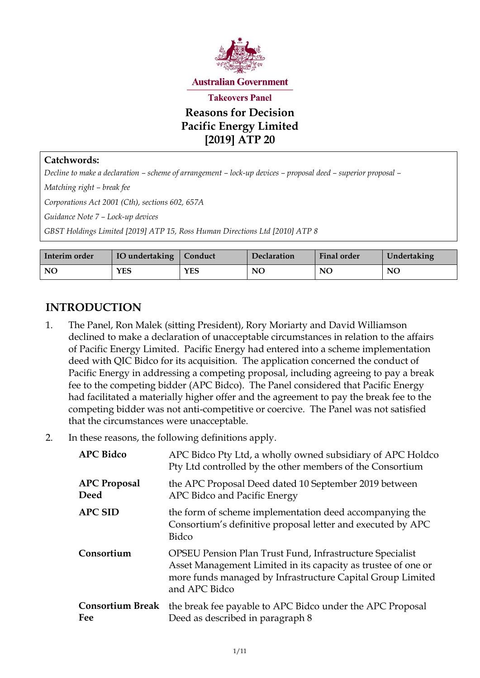

**Australian Government** 

**Takeovers Panel** 

# **Reasons for Decision Pacific Energy Limited [2019] ATP 20**

#### **Catchwords:**

*Decline to make a declaration – scheme of arrangement – lock-up devices – proposal deed – superior proposal –*

*Matching right – break fee*

*Corporations Act 2001 (Cth), sections 602, 657A*

*Guidance Note 7 – Lock-up devices*

*GBST Holdings Limited [2019] ATP 15, Ross Human Directions Ltd [2010] ATP 8*

| Interim order | IO undertaking   Conduct |            | <b>Declaration</b> | <b>Final order</b> | Undertaking |
|---------------|--------------------------|------------|--------------------|--------------------|-------------|
| NO            | YES                      | <b>YES</b> | <b>NO</b>          | N <sub>O</sub>     | NO          |

## **INTRODUCTION**

- 1. The Panel, Ron Malek (sitting President), Rory Moriarty and David Williamson declined to make a declaration of unacceptable circumstances in relation to the affairs of Pacific Energy Limited. Pacific Energy had entered into a scheme implementation deed with QIC Bidco for its acquisition. The application concerned the conduct of Pacific Energy in addressing a competing proposal, including agreeing to pay a break fee to the competing bidder (APC Bidco). The Panel considered that Pacific Energy had facilitated a materially higher offer and the agreement to pay the break fee to the competing bidder was not anti-competitive or coercive. The Panel was not satisfied that the circumstances were unacceptable.
- 2. In these reasons, the following definitions apply.

| <b>APC Bidco</b>               | APC Bidco Pty Ltd, a wholly owned subsidiary of APC Holdco<br>Pty Ltd controlled by the other members of the Consortium                                                                                  |
|--------------------------------|----------------------------------------------------------------------------------------------------------------------------------------------------------------------------------------------------------|
| <b>APC Proposal</b><br>Deed    | the APC Proposal Deed dated 10 September 2019 between<br>APC Bidco and Pacific Energy                                                                                                                    |
| <b>APC SID</b>                 | the form of scheme implementation deed accompanying the<br>Consortium's definitive proposal letter and executed by APC<br>Bidco                                                                          |
| Consortium                     | OPSEU Pension Plan Trust Fund, Infrastructure Specialist<br>Asset Management Limited in its capacity as trustee of one or<br>more funds managed by Infrastructure Capital Group Limited<br>and APC Bidco |
| <b>Consortium Break</b><br>Fee | the break fee payable to APC Bidco under the APC Proposal<br>Deed as described in paragraph 8                                                                                                            |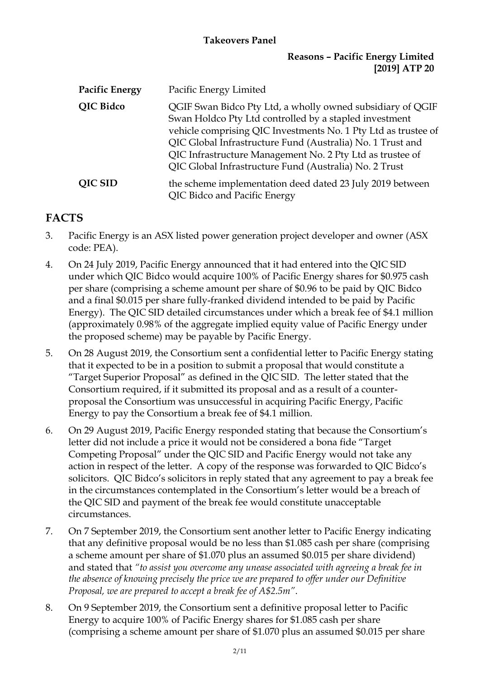## **Reasons – Pacific Energy Limited [2019] ATP 20**

| <b>Pacific Energy</b> | Pacific Energy Limited                                                                                                                                                                                                                                                                                                                                                      |
|-----------------------|-----------------------------------------------------------------------------------------------------------------------------------------------------------------------------------------------------------------------------------------------------------------------------------------------------------------------------------------------------------------------------|
| QIC Bidco             | QGIF Swan Bidco Pty Ltd, a wholly owned subsidiary of QGIF<br>Swan Holdco Pty Ltd controlled by a stapled investment<br>vehicle comprising QIC Investments No. 1 Pty Ltd as trustee of<br>QIC Global Infrastructure Fund (Australia) No. 1 Trust and<br>QIC Infrastructure Management No. 2 Pty Ltd as trustee of<br>QIC Global Infrastructure Fund (Australia) No. 2 Trust |
| <b>QIC SID</b>        | the scheme implementation deed dated 23 July 2019 between<br>QIC Bidco and Pacific Energy                                                                                                                                                                                                                                                                                   |

## **FACTS**

- 3. Pacific Energy is an ASX listed power generation project developer and owner (ASX code: PEA).
- 4. On 24 July 2019, Pacific Energy announced that it had entered into the QIC SID under which QIC Bidco would acquire 100% of Pacific Energy shares for \$0.975 cash per share (comprising a scheme amount per share of \$0.96 to be paid by QIC Bidco and a final \$0.015 per share fully-franked dividend intended to be paid by Pacific Energy). The QIC SID detailed circumstances under which a break fee of \$4.1 million (approximately 0.98% of the aggregate implied equity value of Pacific Energy under the proposed scheme) may be payable by Pacific Energy.
- 5. On 28 August 2019, the Consortium sent a confidential letter to Pacific Energy stating that it expected to be in a position to submit a proposal that would constitute a "Target Superior Proposal" as defined in the QIC SID. The letter stated that the Consortium required, if it submitted its proposal and as a result of a counterproposal the Consortium was unsuccessful in acquiring Pacific Energy, Pacific Energy to pay the Consortium a break fee of \$4.1 million.
- 6. On 29 August 2019, Pacific Energy responded stating that because the Consortium's letter did not include a price it would not be considered a bona fide "Target Competing Proposal" under the QIC SID and Pacific Energy would not take any action in respect of the letter. A copy of the response was forwarded to QIC Bidco's solicitors. QIC Bidco's solicitors in reply stated that any agreement to pay a break fee in the circumstances contemplated in the Consortium's letter would be a breach of the QIC SID and payment of the break fee would constitute unacceptable circumstances.
- 7. On 7 September 2019, the Consortium sent another letter to Pacific Energy indicating that any definitive proposal would be no less than \$1.085 cash per share (comprising a scheme amount per share of \$1.070 plus an assumed \$0.015 per share dividend) and stated that *"to assist you overcome any unease associated with agreeing a break fee in the absence of knowing precisely the price we are prepared to offer under our Definitive Proposal, we are prepared to accept a break fee of A\$2.5m"*.
- <span id="page-1-0"></span>8. On 9 September 2019, the Consortium sent a definitive proposal letter to Pacific Energy to acquire 100% of Pacific Energy shares for \$1.085 cash per share (comprising a scheme amount per share of \$1.070 plus an assumed \$0.015 per share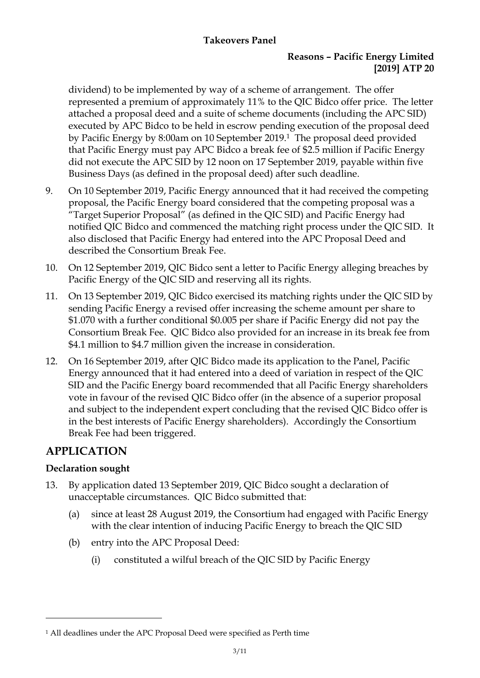## **Reasons – Pacific Energy Limited [2019] ATP 20**

dividend) to be implemented by way of a scheme of arrangement. The offer represented a premium of approximately 11% to the QIC Bidco offer price. The letter attached a proposal deed and a suite of scheme documents (including the APC SID) executed by APC Bidco to be held in escrow pending execution of the proposal deed by Pacific Energy by 8:00am on 10 September 2019.1 The proposal deed provided that Pacific Energy must pay APC Bidco a break fee of \$2.5 million if Pacific Energy did not execute the APC SID by 12 noon on 17 September 2019, payable within five Business Days (as defined in the proposal deed) after such deadline.

- 9. On 10 September 2019, Pacific Energy announced that it had received the competing proposal, the Pacific Energy board considered that the competing proposal was a "Target Superior Proposal" (as defined in the QIC SID) and Pacific Energy had notified QIC Bidco and commenced the matching right process under the QIC SID. It also disclosed that Pacific Energy had entered into the APC Proposal Deed and described the Consortium Break Fee.
- 10. On 12 September 2019, QIC Bidco sent a letter to Pacific Energy alleging breaches by Pacific Energy of the QIC SID and reserving all its rights.
- 11. On 13 September 2019, QIC Bidco exercised its matching rights under the QIC SID by sending Pacific Energy a revised offer increasing the scheme amount per share to \$1.070 with a further conditional \$0.005 per share if Pacific Energy did not pay the Consortium Break Fee. QIC Bidco also provided for an increase in its break fee from \$4.1 million to \$4.7 million given the increase in consideration.
- 12. On 16 September 2019, after QIC Bidco made its application to the Panel, Pacific Energy announced that it had entered into a deed of variation in respect of the QIC SID and the Pacific Energy board recommended that all Pacific Energy shareholders vote in favour of the revised QIC Bidco offer (in the absence of a superior proposal and subject to the independent expert concluding that the revised QIC Bidco offer is in the best interests of Pacific Energy shareholders). Accordingly the Consortium Break Fee had been triggered.

## **APPLICATION**

## **Declaration sought**

- 13. By application dated 13 September 2019, QIC Bidco sought a declaration of unacceptable circumstances. QIC Bidco submitted that:
	- (a) since at least 28 August 2019, the Consortium had engaged with Pacific Energy with the clear intention of inducing Pacific Energy to breach the QIC SID
	- (b) entry into the APC Proposal Deed:
		- (i) constituted a wilful breach of the QIC SID by Pacific Energy

<sup>1</sup> All deadlines under the APC Proposal Deed were specified as Perth time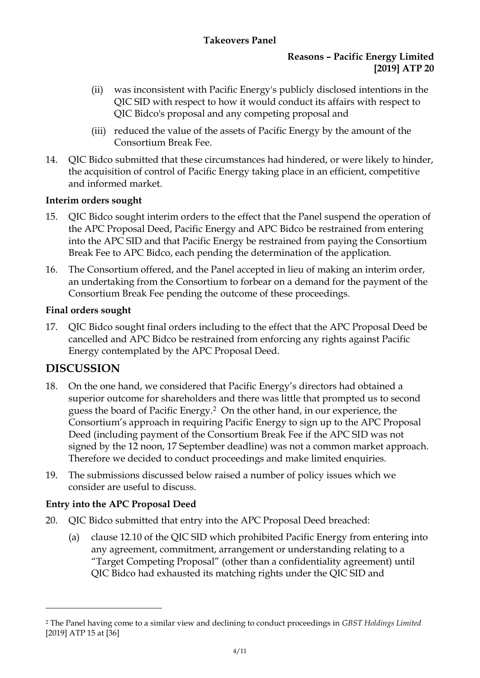## **Reasons – Pacific Energy Limited [2019] ATP 20**

- (ii) was inconsistent with Pacific Energy's publicly disclosed intentions in the QIC SID with respect to how it would conduct its affairs with respect to QIC Bidco's proposal and any competing proposal and
- (iii) reduced the value of the assets of Pacific Energy by the amount of the Consortium Break Fee.
- 14. QIC Bidco submitted that these circumstances had hindered, or were likely to hinder, the acquisition of control of Pacific Energy taking place in an efficient, competitive and informed market.

## **Interim orders sought**

- 15. QIC Bidco sought interim orders to the effect that the Panel suspend the operation of the APC Proposal Deed, Pacific Energy and APC Bidco be restrained from entering into the APC SID and that Pacific Energy be restrained from paying the Consortium Break Fee to APC Bidco, each pending the determination of the application.
- 16. The Consortium offered, and the Panel accepted in lieu of making an interim order, an undertaking from the Consortium to forbear on a demand for the payment of the Consortium Break Fee pending the outcome of these proceedings.

## **Final orders sought**

17. QIC Bidco sought final orders including to the effect that the APC Proposal Deed be cancelled and APC Bidco be restrained from enforcing any rights against Pacific Energy contemplated by the APC Proposal Deed.

## **DISCUSSION**

-

- 18. On the one hand, we considered that Pacific Energy's directors had obtained a superior outcome for shareholders and there was little that prompted us to second guess the board of Pacific Energy.2 On the other hand, in our experience, the Consortium's approach in requiring Pacific Energy to sign up to the APC Proposal Deed (including payment of the Consortium Break Fee if the APC SID was not signed by the 12 noon, 17 September deadline) was not a common market approach. Therefore we decided to conduct proceedings and make limited enquiries.
- 19. The submissions discussed below raised a number of policy issues which we consider are useful to discuss.

## **Entry into the APC Proposal Deed**

- 20. QIC Bidco submitted that entry into the APC Proposal Deed breached:
	- (a) clause 12.10 of the QIC SID which prohibited Pacific Energy from entering into any agreement, commitment, arrangement or understanding relating to a "Target Competing Proposal" (other than a confidentiality agreement) until QIC Bidco had exhausted its matching rights under the QIC SID and

<sup>2</sup> The Panel having come to a similar view and declining to conduct proceedings in *GBST Holdings Limited* [2019] ATP 15 at [36]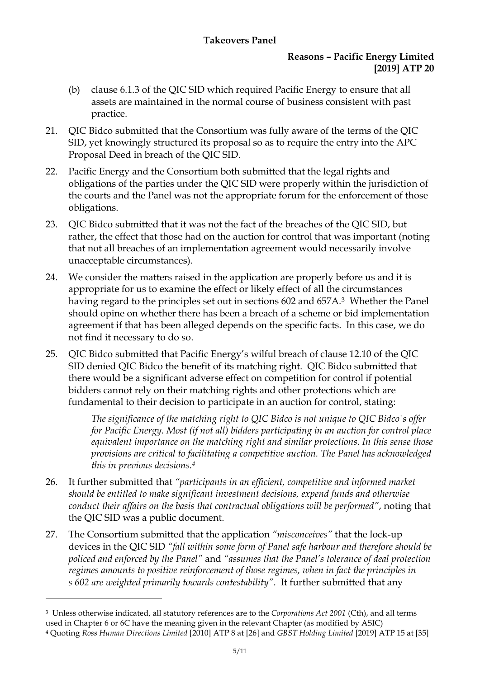### **Reasons – Pacific Energy Limited [2019] ATP 20**

- (b) clause 6.1.3 of the QIC SID which required Pacific Energy to ensure that all assets are maintained in the normal course of business consistent with past practice.
- 21. QIC Bidco submitted that the Consortium was fully aware of the terms of the QIC SID, yet knowingly structured its proposal so as to require the entry into the APC Proposal Deed in breach of the QIC SID.
- 22. Pacific Energy and the Consortium both submitted that the legal rights and obligations of the parties under the QIC SID were properly within the jurisdiction of the courts and the Panel was not the appropriate forum for the enforcement of those obligations.
- 23. QIC Bidco submitted that it was not the fact of the breaches of the QIC SID, but rather, the effect that those had on the auction for control that was important (noting that not all breaches of an implementation agreement would necessarily involve unacceptable circumstances).
- 24. We consider the matters raised in the application are properly before us and it is appropriate for us to examine the effect or likely effect of all the circumstances having regard to the principles set out in sections 602 and 657A.<sup>3</sup> Whether the Panel should opine on whether there has been a breach of a scheme or bid implementation agreement if that has been alleged depends on the specific facts. In this case, we do not find it necessary to do so.
- 25. QIC Bidco submitted that Pacific Energy's wilful breach of clause 12.10 of the QIC SID denied QIC Bidco the benefit of its matching right. QIC Bidco submitted that there would be a significant adverse effect on competition for control if potential bidders cannot rely on their matching rights and other protections which are fundamental to their decision to participate in an auction for control, stating:

*The significance of the matching right to QIC Bidco is not unique to QIC Bidco's offer for Pacific Energy. Most (if not all) bidders participating in an auction for control place equivalent importance on the matching right and similar protections. In this sense those provisions are critical to facilitating a competitive auction. The Panel has acknowledged this in previous decisions. 4* 

- 26. It further submitted that *"participants in an efficient, competitive and informed market should be entitled to make significant investment decisions, expend funds and otherwise conduct their affairs on the basis that contractual obligations will be performed"*, noting that the QIC SID was a public document.
- 27. The Consortium submitted that the application *"misconceives"* that the lock-up devices in the QIC SID *"fall within some form of Panel safe harbour and therefore should be policed and enforced by the Panel"* and *"assumes that the Panel's tolerance of deal protection regimes amounts to positive reinforcement of those regimes, when in fact the principles in s 602 are weighted primarily towards contestability"*. It further submitted that any

<sup>3</sup> Unless otherwise indicated, all statutory references are to the *Corporations Act 2001* (Cth), and all terms used in Chapter 6 or 6C have the meaning given in the relevant Chapter (as modified by ASIC)

<sup>4</sup> Quoting *Ross Human Directions Limited* [2010] ATP 8 at [26] and *GBST Holding Limited* [2019] ATP 15 at [35]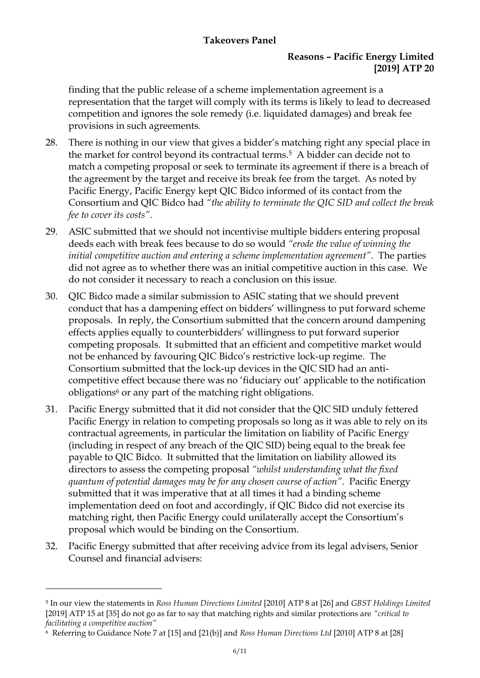### **Reasons – Pacific Energy Limited [2019] ATP 20**

finding that the public release of a scheme implementation agreement is a representation that the target will comply with its terms is likely to lead to decreased competition and ignores the sole remedy (i.e. liquidated damages) and break fee provisions in such agreements.

- 28. There is nothing in our view that gives a bidder's matching right any special place in the market for control beyond its contractual terms.<sup>5</sup> A bidder can decide not to match a competing proposal or seek to terminate its agreement if there is a breach of the agreement by the target and receive its break fee from the target. As noted by Pacific Energy, Pacific Energy kept QIC Bidco informed of its contact from the Consortium and QIC Bidco had *"the ability to terminate the QIC SID and collect the break fee to cover its costs"*.
- 29. ASIC submitted that we should not incentivise multiple bidders entering proposal deeds each with break fees because to do so would *"erode the value of winning the initial competitive auction and entering a scheme implementation agreement"*. The parties did not agree as to whether there was an initial competitive auction in this case. We do not consider it necessary to reach a conclusion on this issue.
- 30. QIC Bidco made a similar submission to ASIC stating that we should prevent conduct that has a dampening effect on bidders' willingness to put forward scheme proposals. In reply, the Consortium submitted that the concern around dampening effects applies equally to counterbidders' willingness to put forward superior competing proposals. It submitted that an efficient and competitive market would not be enhanced by favouring QIC Bidco's restrictive lock-up regime. The Consortium submitted that the lock-up devices in the QIC SID had an anticompetitive effect because there was no 'fiduciary out' applicable to the notification obligations<sup>6</sup> or any part of the matching right obligations.
- <span id="page-5-0"></span>31. Pacific Energy submitted that it did not consider that the QIC SID unduly fettered Pacific Energy in relation to competing proposals so long as it was able to rely on its contractual agreements, in particular the limitation on liability of Pacific Energy (including in respect of any breach of the QIC SID) being equal to the break fee payable to QIC Bidco. It submitted that the limitation on liability allowed its directors to assess the competing proposal *"whilst understanding what the fixed quantum of potential damages may be for any chosen course of action"*. Pacific Energy submitted that it was imperative that at all times it had a binding scheme implementation deed on foot and accordingly, if QIC Bidco did not exercise its matching right, then Pacific Energy could unilaterally accept the Consortium's proposal which would be binding on the Consortium.
- <span id="page-5-1"></span>32. Pacific Energy submitted that after receiving advice from its legal advisers, Senior Counsel and financial advisers:

<sup>5</sup> In our view the statements in *Ross Human Directions Limited* [2010] ATP 8 at [26] and *GBST Holdings Limited* [2019] ATP 15 at [35] do not go as far to say that matching rights and similar protections are *"critical to facilitating a competitive auction"*

<sup>6</sup> Referring to Guidance Note 7 at [15] and [21(b)] and *Ross Human Directions Ltd* [2010] ATP 8 at [28]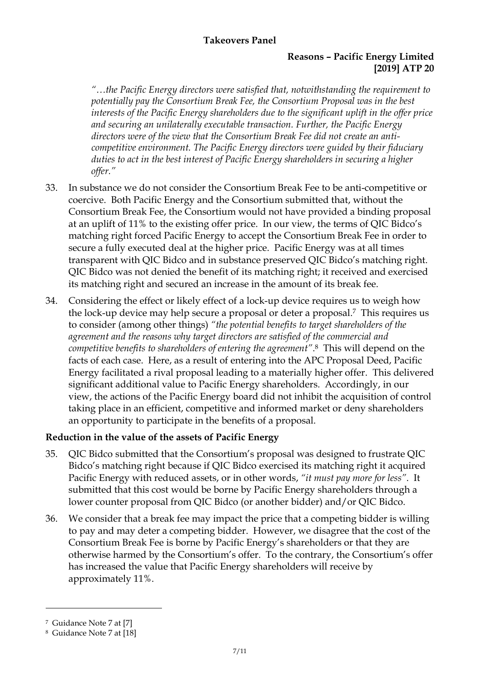## **Reasons – Pacific Energy Limited [2019] ATP 20**

*"…the Pacific Energy directors were satisfied that, notwithstanding the requirement to potentially pay the Consortium Break Fee, the Consortium Proposal was in the best interests of the Pacific Energy shareholders due to the significant uplift in the offer price and securing an unilaterally executable transaction. Further, the Pacific Energy directors were of the view that the Consortium Break Fee did not create an anticompetitive environment. The Pacific Energy directors were guided by their fiduciary duties to act in the best interest of Pacific Energy shareholders in securing a higher offer."*

- 33. In substance we do not consider the Consortium Break Fee to be anti-competitive or coercive. Both Pacific Energy and the Consortium submitted that, without the Consortium Break Fee, the Consortium would not have provided a binding proposal at an uplift of 11% to the existing offer price. In our view, the terms of QIC Bidco's matching right forced Pacific Energy to accept the Consortium Break Fee in order to secure a fully executed deal at the higher price. Pacific Energy was at all times transparent with QIC Bidco and in substance preserved QIC Bidco's matching right. QIC Bidco was not denied the benefit of its matching right; it received and exercised its matching right and secured an increase in the amount of its break fee.
- 34. Considering the effect or likely effect of a lock-up device requires us to weigh how the lock-up device may help secure a proposal or deter a proposal. <sup>7</sup> This requires us to consider (among other things) *"the potential benefits to target shareholders of the agreement and the reasons why target directors are satisfied of the commercial and competitive benefits to shareholders of entering the agreement"*. <sup>8</sup> This will depend on the facts of each case. Here, as a result of entering into the APC Proposal Deed, Pacific Energy facilitated a rival proposal leading to a materially higher offer. This delivered significant additional value to Pacific Energy shareholders. Accordingly, in our view, the actions of the Pacific Energy board did not inhibit the acquisition of control taking place in an efficient, competitive and informed market or deny shareholders an opportunity to participate in the benefits of a proposal.

## **Reduction in the value of the assets of Pacific Energy**

- 35. QIC Bidco submitted that the Consortium's proposal was designed to frustrate QIC Bidco's matching right because if QIC Bidco exercised its matching right it acquired Pacific Energy with reduced assets, or in other words, *"it must pay more for less"*. It submitted that this cost would be borne by Pacific Energy shareholders through a lower counter proposal from QIC Bidco (or another bidder) and/or QIC Bidco.
- 36. We consider that a break fee may impact the price that a competing bidder is willing to pay and may deter a competing bidder. However, we disagree that the cost of the Consortium Break Fee is borne by Pacific Energy's shareholders or that they are otherwise harmed by the Consortium's offer. To the contrary, the Consortium's offer has increased the value that Pacific Energy shareholders will receive by approximately 11%.

<sup>7</sup> Guidance Note 7 at [7]

<sup>8</sup> Guidance Note 7 at [18]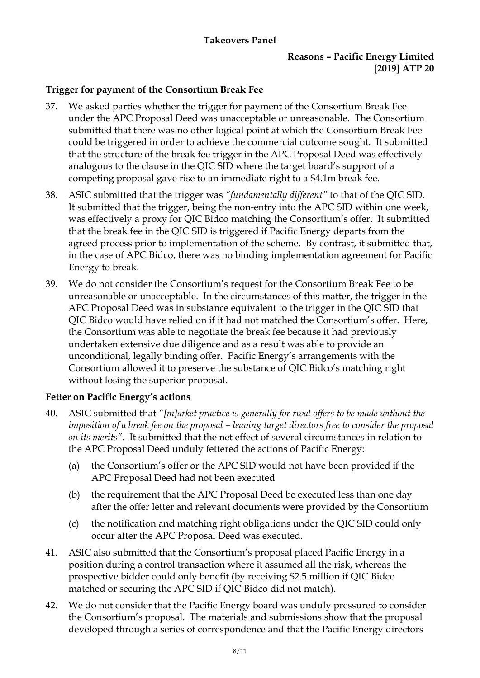### **Reasons – Pacific Energy Limited [2019] ATP 20**

#### **Trigger for payment of the Consortium Break Fee**

- 37. We asked parties whether the trigger for payment of the Consortium Break Fee under the APC Proposal Deed was unacceptable or unreasonable. The Consortium submitted that there was no other logical point at which the Consortium Break Fee could be triggered in order to achieve the commercial outcome sought. It submitted that the structure of the break fee trigger in the APC Proposal Deed was effectively analogous to the clause in the QIC SID where the target board's support of a competing proposal gave rise to an immediate right to a \$4.1m break fee.
- 38. ASIC submitted that the trigger was *"fundamentally different"* to that of the QIC SID. It submitted that the trigger, being the non-entry into the APC SID within one week, was effectively a proxy for QIC Bidco matching the Consortium's offer. It submitted that the break fee in the QIC SID is triggered if Pacific Energy departs from the agreed process prior to implementation of the scheme. By contrast, it submitted that, in the case of APC Bidco, there was no binding implementation agreement for Pacific Energy to break.
- 39. We do not consider the Consortium's request for the Consortium Break Fee to be unreasonable or unacceptable. In the circumstances of this matter, the trigger in the APC Proposal Deed was in substance equivalent to the trigger in the QIC SID that QIC Bidco would have relied on if it had not matched the Consortium's offer. Here, the Consortium was able to negotiate the break fee because it had previously undertaken extensive due diligence and as a result was able to provide an unconditional, legally binding offer. Pacific Energy's arrangements with the Consortium allowed it to preserve the substance of QIC Bidco's matching right without losing the superior proposal.

#### **Fetter on Pacific Energy's actions**

- 40. ASIC submitted that *"[m]arket practice is generally for rival offers to be made without the imposition of a break fee on the proposal – leaving target directors free to consider the proposal on its merits"*. It submitted that the net effect of several circumstances in relation to the APC Proposal Deed unduly fettered the actions of Pacific Energy:
	- (a) the Consortium's offer or the APC SID would not have been provided if the APC Proposal Deed had not been executed
	- (b) the requirement that the APC Proposal Deed be executed less than one day after the offer letter and relevant documents were provided by the Consortium
	- (c) the notification and matching right obligations under the QIC SID could only occur after the APC Proposal Deed was executed.
- 41. ASIC also submitted that the Consortium's proposal placed Pacific Energy in a position during a control transaction where it assumed all the risk, whereas the prospective bidder could only benefit (by receiving \$2.5 million if QIC Bidco matched or securing the APC SID if QIC Bidco did not match).
- 42. We do not consider that the Pacific Energy board was unduly pressured to consider the Consortium's proposal. The materials and submissions show that the proposal developed through a series of correspondence and that the Pacific Energy directors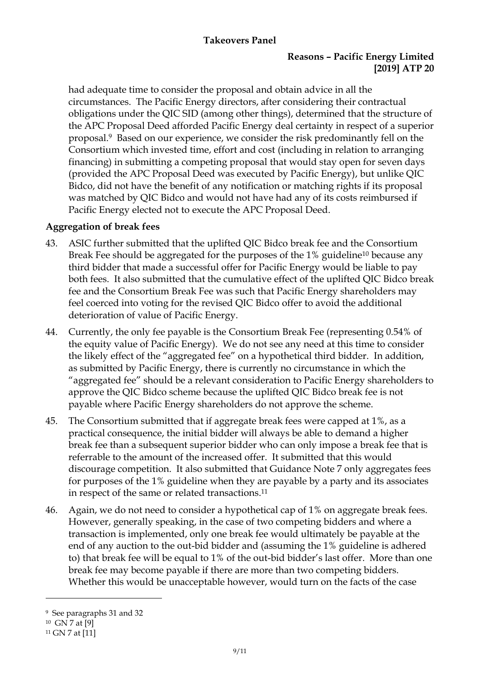## **Reasons – Pacific Energy Limited [2019] ATP 20**

had adequate time to consider the proposal and obtain advice in all the circumstances. The Pacific Energy directors, after considering their contractual obligations under the QIC SID (among other things), determined that the structure of the APC Proposal Deed afforded Pacific Energy deal certainty in respect of a superior proposal.9 Based on our experience, we consider the risk predominantly fell on the Consortium which invested time, effort and cost (including in relation to arranging financing) in submitting a competing proposal that would stay open for seven days (provided the APC Proposal Deed was executed by Pacific Energy), but unlike QIC Bidco, did not have the benefit of any notification or matching rights if its proposal was matched by QIC Bidco and would not have had any of its costs reimbursed if Pacific Energy elected not to execute the APC Proposal Deed.

## **Aggregation of break fees**

- 43. ASIC further submitted that the uplifted QIC Bidco break fee and the Consortium Break Fee should be aggregated for the purposes of the 1% guideline<sup>10</sup> because any third bidder that made a successful offer for Pacific Energy would be liable to pay both fees. It also submitted that the cumulative effect of the uplifted QIC Bidco break fee and the Consortium Break Fee was such that Pacific Energy shareholders may feel coerced into voting for the revised QIC Bidco offer to avoid the additional deterioration of value of Pacific Energy.
- 44. Currently, the only fee payable is the Consortium Break Fee (representing 0.54% of the equity value of Pacific Energy). We do not see any need at this time to consider the likely effect of the "aggregated fee" on a hypothetical third bidder. In addition, as submitted by Pacific Energy, there is currently no circumstance in which the "aggregated fee" should be a relevant consideration to Pacific Energy shareholders to approve the QIC Bidco scheme because the uplifted QIC Bidco break fee is not payable where Pacific Energy shareholders do not approve the scheme.
- 45. The Consortium submitted that if aggregate break fees were capped at 1%, as a practical consequence, the initial bidder will always be able to demand a higher break fee than a subsequent superior bidder who can only impose a break fee that is referrable to the amount of the increased offer. It submitted that this would discourage competition. It also submitted that Guidance Note 7 only aggregates fees for purposes of the 1% guideline when they are payable by a party and its associates in respect of the same or related transactions. 11
- 46. Again, we do not need to consider a hypothetical cap of 1% on aggregate break fees. However, generally speaking, in the case of two competing bidders and where a transaction is implemented, only one break fee would ultimately be payable at the end of any auction to the out-bid bidder and (assuming the 1% guideline is adhered to) that break fee will be equal to 1% of the out-bid bidder's last offer. More than one break fee may become payable if there are more than two competing bidders. Whether this would be unacceptable however, would turn on the facts of the case

<sup>9</sup> See paragraphs [31](#page-5-0) and [32](#page-5-1)

<sup>10</sup> GN 7 at [9]

<sup>11</sup> GN 7 at [11]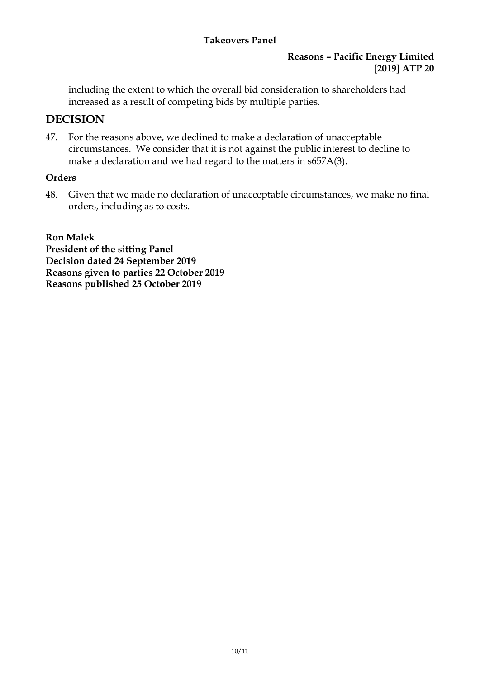## **Reasons – Pacific Energy Limited [2019] ATP 20**

including the extent to which the overall bid consideration to shareholders had increased as a result of competing bids by multiple parties.

## **DECISION**

47. For the reasons above, we declined to make a declaration of unacceptable circumstances. We consider that it is not against the public interest to decline to make a declaration and we had regard to the matters in s657A(3).

## **Orders**

48. Given that we made no declaration of unacceptable circumstances, we make no final orders, including as to costs.

**Ron Malek President of the sitting Panel Decision dated 24 September 2019 Reasons given to parties 22 October 2019 Reasons published 25 October 2019**